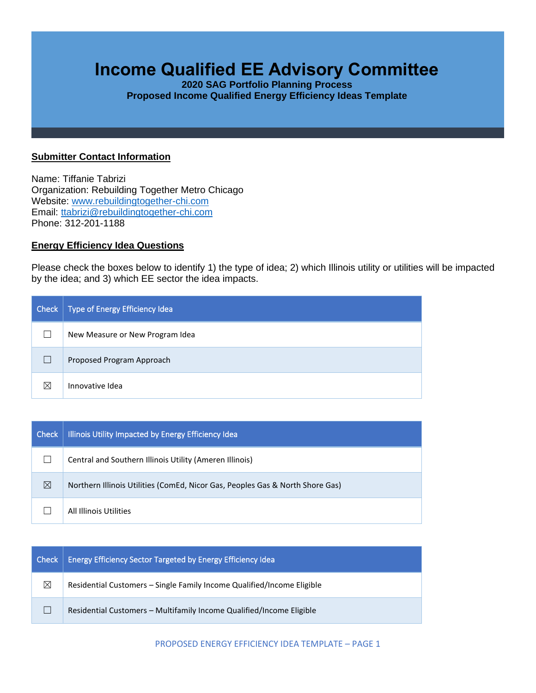# **Income Qualified EE Advisory Committee**

**2020 SAG Portfolio Planning Process Proposed Income Qualified Energy Efficiency Ideas Template**

## **Submitter Contact Information**

Name: Tiffanie Tabrizi Organization: Rebuilding Together Metro Chicago Website: [www.rebuildingtogether-chi.com](http://www.rebuildingtogether-chi.com/) Email: [ttabrizi@rebuildingtogether-chi.com](mailto:ttabrizi@rebuildingtogether-chi.com) Phone: 312-201-1188

# **Energy Efficiency Idea Questions**

Please check the boxes below to identify 1) the type of idea; 2) which Illinois utility or utilities will be impacted by the idea; and 3) which EE sector the idea impacts.

| Check | Type of Energy Efficiency Idea  |
|-------|---------------------------------|
|       | New Measure or New Program Idea |
|       | Proposed Program Approach       |
| ⋉     | Innovative Idea                 |

| Check | Illinois Utility Impacted by Energy Efficiency Idea                           |
|-------|-------------------------------------------------------------------------------|
|       | Central and Southern Illinois Utility (Ameren Illinois)                       |
| ⊠     | Northern Illinois Utilities (ComEd, Nicor Gas, Peoples Gas & North Shore Gas) |
|       | All Illinois Utilities                                                        |

| l Check | <b>Energy Efficiency Sector Targeted by Energy Efficiency Idea</b>     |
|---------|------------------------------------------------------------------------|
| X       | Residential Customers - Single Family Income Qualified/Income Eligible |
|         | Residential Customers – Multifamily Income Qualified/Income Eligible   |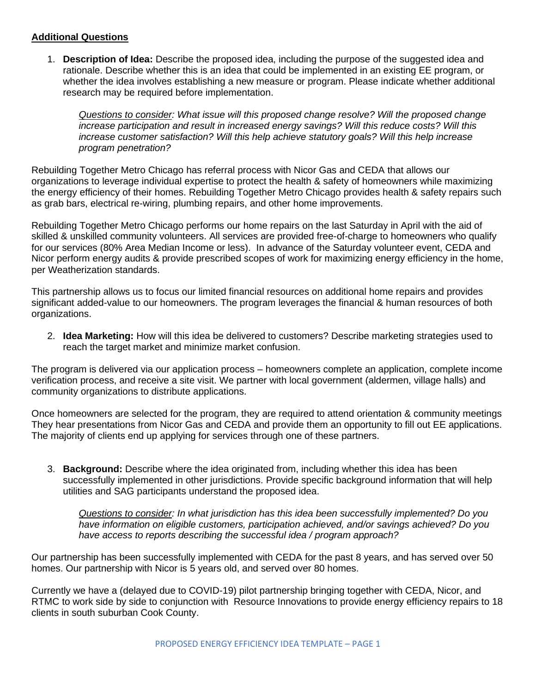# **Additional Questions**

1. **Description of Idea:** Describe the proposed idea, including the purpose of the suggested idea and rationale. Describe whether this is an idea that could be implemented in an existing EE program, or whether the idea involves establishing a new measure or program. Please indicate whether additional research may be required before implementation.

*Questions to consider: What issue will this proposed change resolve? Will the proposed change increase participation and result in increased energy savings? Will this reduce costs? Will this increase customer satisfaction? Will this help achieve statutory goals? Will this help increase program penetration?* 

Rebuilding Together Metro Chicago has referral process with Nicor Gas and CEDA that allows our organizations to leverage individual expertise to protect the health & safety of homeowners while maximizing the energy efficiency of their homes. Rebuilding Together Metro Chicago provides health & safety repairs such as grab bars, electrical re-wiring, plumbing repairs, and other home improvements.

Rebuilding Together Metro Chicago performs our home repairs on the last Saturday in April with the aid of skilled & unskilled community volunteers. All services are provided free-of-charge to homeowners who qualify for our services (80% Area Median Income or less). In advance of the Saturday volunteer event, CEDA and Nicor perform energy audits & provide prescribed scopes of work for maximizing energy efficiency in the home, per Weatherization standards.

This partnership allows us to focus our limited financial resources on additional home repairs and provides significant added-value to our homeowners. The program leverages the financial & human resources of both organizations.

2. **Idea Marketing:** How will this idea be delivered to customers? Describe marketing strategies used to reach the target market and minimize market confusion.

The program is delivered via our application process – homeowners complete an application, complete income verification process, and receive a site visit. We partner with local government (aldermen, village halls) and community organizations to distribute applications.

Once homeowners are selected for the program, they are required to attend orientation & community meetings They hear presentations from Nicor Gas and CEDA and provide them an opportunity to fill out EE applications. The majority of clients end up applying for services through one of these partners.

3. **Background:** Describe where the idea originated from, including whether this idea has been successfully implemented in other jurisdictions. Provide specific background information that will help utilities and SAG participants understand the proposed idea.

*Questions to consider: In what jurisdiction has this idea been successfully implemented? Do you have information on eligible customers, participation achieved, and/or savings achieved? Do you have access to reports describing the successful idea / program approach?* 

Our partnership has been successfully implemented with CEDA for the past 8 years, and has served over 50 homes. Our partnership with Nicor is 5 years old, and served over 80 homes.

Currently we have a (delayed due to COVID-19) pilot partnership bringing together with CEDA, Nicor, and RTMC to work side by side to conjunction with Resource Innovations to provide energy efficiency repairs to 18 clients in south suburban Cook County.